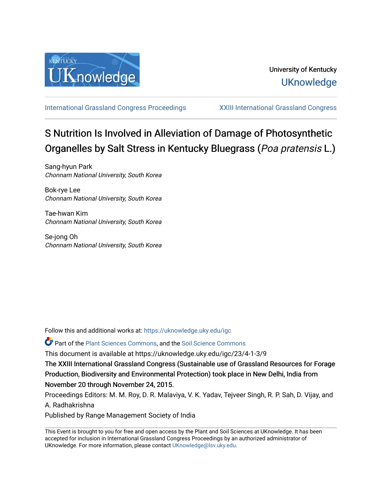

[International Grassland Congress Proceedings](https://uknowledge.uky.edu/igc) [XXIII International Grassland Congress](https://uknowledge.uky.edu/igc/23) 

# S Nutrition Is Involved in Alleviation of Damage of Photosynthetic Organelles by Salt Stress in Kentucky Bluegrass (Poa pratensis L.)

Sang-hyun Park Chonnam National University, South Korea

Bok-rye Lee Chonnam National University, South Korea

Tae-hwan Kim Chonnam National University, South Korea

Se-jong Oh Chonnam National University, South Korea

Follow this and additional works at: [https://uknowledge.uky.edu/igc](https://uknowledge.uky.edu/igc?utm_source=uknowledge.uky.edu%2Figc%2F23%2F4-1-3%2F9&utm_medium=PDF&utm_campaign=PDFCoverPages) 

Part of the [Plant Sciences Commons](http://network.bepress.com/hgg/discipline/102?utm_source=uknowledge.uky.edu%2Figc%2F23%2F4-1-3%2F9&utm_medium=PDF&utm_campaign=PDFCoverPages), and the [Soil Science Commons](http://network.bepress.com/hgg/discipline/163?utm_source=uknowledge.uky.edu%2Figc%2F23%2F4-1-3%2F9&utm_medium=PDF&utm_campaign=PDFCoverPages) 

This document is available at https://uknowledge.uky.edu/igc/23/4-1-3/9

The XXIII International Grassland Congress (Sustainable use of Grassland Resources for Forage Production, Biodiversity and Environmental Protection) took place in New Delhi, India from November 20 through November 24, 2015.

Proceedings Editors: M. M. Roy, D. R. Malaviya, V. K. Yadav, Tejveer Singh, R. P. Sah, D. Vijay, and A. Radhakrishna

Published by Range Management Society of India

This Event is brought to you for free and open access by the Plant and Soil Sciences at UKnowledge. It has been accepted for inclusion in International Grassland Congress Proceedings by an authorized administrator of UKnowledge. For more information, please contact [UKnowledge@lsv.uky.edu](mailto:UKnowledge@lsv.uky.edu).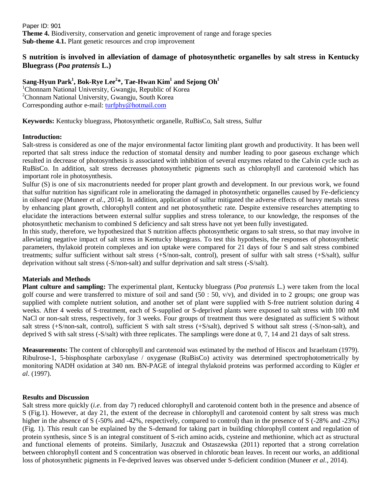Paper ID: 901 **Theme 4.** Biodiversity, conservation and genetic improvement of range and forage species **Sub-theme 4.1.** Plant genetic resources and crop improvement

## **S nutrition is involved in alleviation of damage of photosynthetic organelles by salt stress in Kentucky Bluegrass (***Poa pratensis* **L.)**

**Sang-Hyun Park<sup>1</sup> , Bok-Rye Lee<sup>2</sup> \*, Tae-Hwan Kim<sup>1</sup> and Sejong Oh<sup>1</sup>**

<sup>1</sup>Chonnam National University, Gwangju, Republic of Korea <sup>2</sup>Chonnam National University, Gwangju, South Korea Corresponding author e-mail: [turfphy@hotmail.com](mailto:turfphy@hotmail.com)

**Keywords:** Kentucky bluegrass, Photosynthetic organelle, RuBisCo, Salt stress, Sulfur

## **Introduction:**

Salt-stress is considered as one of the major environmental factor limiting plant growth and productivity. It has been well reported that salt stress induce the reduction of stomatal density and number leading to poor gaseous exchange which resulted in decrease of photosynthesis is associated with inhibition of several enzymes related to the Calvin cycle such as RuBisCo. In addition, salt stress decreases photosynthetic pigments such as chlorophyll and carotenoid which has important role in photosynthesis.

Sulfur (S) is one of six macronutrients needed for proper plant growth and development. In our previous work, we found that sulfur nutrition has significant role in ameliorating the damaged in photosynthetic organelles caused by Fe-deficiency in oilseed rape (Muneer *et al*., 2014). In addition, application of sulfur mitigated the adverse effects of heavy metals stress by enhancing plant growth, chlorophyll content and net photosynthetic rate. Despite extensive researches attempting to elucidate the interactions between external sulfur supplies and stress tolerance, to our knowledge, the responses of the photosynthetic mechanism to combined S deficiency and salt stress have not yet been fully investigated.

In this study, therefore, we hypothesized that S nutrition affects photosynthetic organs to salt stress, so that may involve in alleviating negative impact of salt stress in Kentucky bluegrass. To test this hypothesis, the responses of photosynthetic parameters, thylakoid protein complexes and ion uptake were compared for 21 days of four S and salt stress combined treatments; sulfur sufficient without salt stress (+S/non-salt, control), present of sulfur with salt stress (+S/salt), sulfur deprivation without salt stress (-S/non-salt) and sulfur deprivation and salt stress (-S/salt).

## **Materials and Methods**

**Plant culture and sampling:** The experimental plant, Kentucky bluegrass (*Poa pratensis* L.) were taken from the local golf course and were transferred to mixture of soil and sand  $(50 : 50, v/v)$ , and divided in to 2 groups; one group was supplied with complete nutrient solution, and another set of plant were supplied with S-free nutrient solution during 4 weeks. After 4 weeks of S-treatment, each of S-supplied or S-deprived plants were exposed to salt stress with 100 mM NaCl or non-salt stress, respectively, for 3 weeks. Four groups of treatment thus were designated as sufficient S without salt stress (+S/non-salt, control), sufficient S with salt stress (+S/salt), deprived S without salt stress (-S/non-salt), and deprived S with salt stress (-S/salt) with three replicates. The samplings were done at 0, 7, 14 and 21 days of salt stress.

**Measurements:** The content of chlorophyll and carotenoid was estimated by the method of Hiscox and Israelstam (1979). Ribulrose-1, 5-bisphosphate carboxylase / oxygenase (RuBisCo) activity was determined spectrophotometrically by monitoring NADH oxidation at 340 nm. BN-PAGE of integral thylakoid proteins was performed according to Kügler *et al*. (1997).

## **Results and Discussion**

Salt stress more quickly (*i.e*. from day 7) reduced chlorophyll and carotenoid content both in the presence and absence of S (Fig.1). However, at day 21, the extent of the decrease in chlorophyll and carotenoid content by salt stress was much higher in the absence of S (-50% and -42%, respectively, compared to control) than in the presence of S (-28% and -23%) (Fig. 1). This result can be explained by the S-demand for taking part in building chlorophyll content and regulation of protein synthesis, since S is an integral constituent of S-rich amino acids, cysteine and methionine, which act as structural and functional elements of proteins. Similarly, Juszczuk and Ostaszewska (2011) reported that a strong correlation between chlorophyll content and S concentration was observed in chlorotic bean leaves. In recent our works, an additional loss of photosynthetic pigments in Fe-deprived leaves was observed under S-deficient condition (Muneer *et al*., 2014).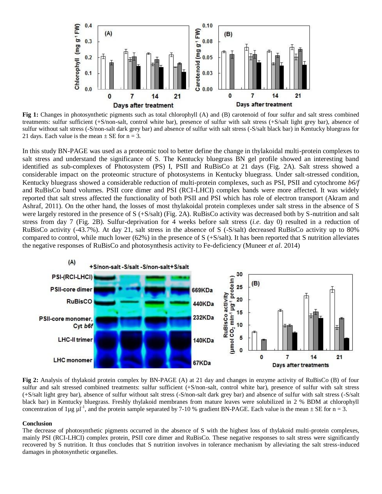

**Fig 1:** Changes in photosynthetic pigments such as total chlorophyll (A) and (B) carotenoid of four sulfur and salt stress combined treatments: sulfur sufficient (+S/non-salt, control white bar), presence of sulfur with salt stress (+S/salt light grey bar), absence of sulfur without salt stress (-S/non-salt dark grey bar) and absence of sulfur with salt stress (-S/salt black bar) in Kentucky bluegrass for 21 days. Each value is the mean  $\pm$  SE for n = 3.

In this study BN-PAGE was used as a proteomic tool to better define the change in thylakoidal multi-protein complexes to salt stress and understand the significance of S. The Kentucky bluegrass BN gel profile showed an interesting band identified as sub-complexes of Photosystem (PS) I, PSII and RuBisCo at 21 days (Fig. 2A). Salt stress showed a considerable impact on the proteomic structure of photosystems in Kentucky bluegrass. Under salt-stressed condition, Kentucky bluegrass showed a considerable reduction of multi-protein complexes, such as PSI, PSII and cytochrome *b6/f*  and RuBisCo band volumes. PSII core dimer and PSI (RCI-LHCI) complex bands were more affected. It was widely reported that salt stress affected the functionality of both PSII and PSI which has role of electron transport (Akram and Ashraf, 2011). On the other hand, the losses of most thylakoidal protein complexes under salt stress in the absence of S were largely restored in the presence of S (+S/salt) (Fig. 2A). RuBisCo activity was decreased both by S-nutrition and salt stress from day 7 (Fig. 2B). Sulfur-deprivation for 4 weeks before salt stress (*i.e*. day 0) resulted in a reduction of RuBisCo activity (-43.7%). At day 21, salt stress in the absence of S (-S/salt) decreased RuBisCo activity up to 80% compared to control, while much lower  $(62%)$  in the presence of S  $(+S/\text{salt})$ . It has been reported that S nutrition alleviates the negative responses of RuBisCo and photosynthesis activity to Fe-deficiency (Muneer *et al*. 2014)



**Fig 2:** Analysis of thylakoid protein complex by BN-PAGE (A) at 21 day and changes in enzyme activity of RuBisCo (B) of four sulfur and salt stressed combined treatments: sulfur sufficient (+S/non-salt, control white bar), presence of sulfur with salt stress (+S/salt light grey bar), absence of sulfur without salt stress (-S/non-salt dark grey bar) and absence of sulfur with salt stress (-S/salt black bar) in Kentucky bluegrass. Freshly thylakoid membranes from mature leaves were solubilized in 2 % BDM at chlorophyll concentration of 1µg  $\mu$ <sup>1</sup>, and the protein sample separated by 7-10 % gradient BN-PAGE. Each value is the mean  $\pm$  SE for n = 3.

#### **Conclusion**

The decrease of photosynthetic pigments occurred in the absence of S with the highest loss of thylakoid multi-protein complexes, mainly PSI (RCI-LHCI) complex protein, PSII core dimer and RuBisCo. These negative responses to salt stress were significantly recovered by S nutrition. It thus concludes that S nutrition involves in tolerance mechanism by alleviating the salt stress-induced damages in photosynthetic organelles.